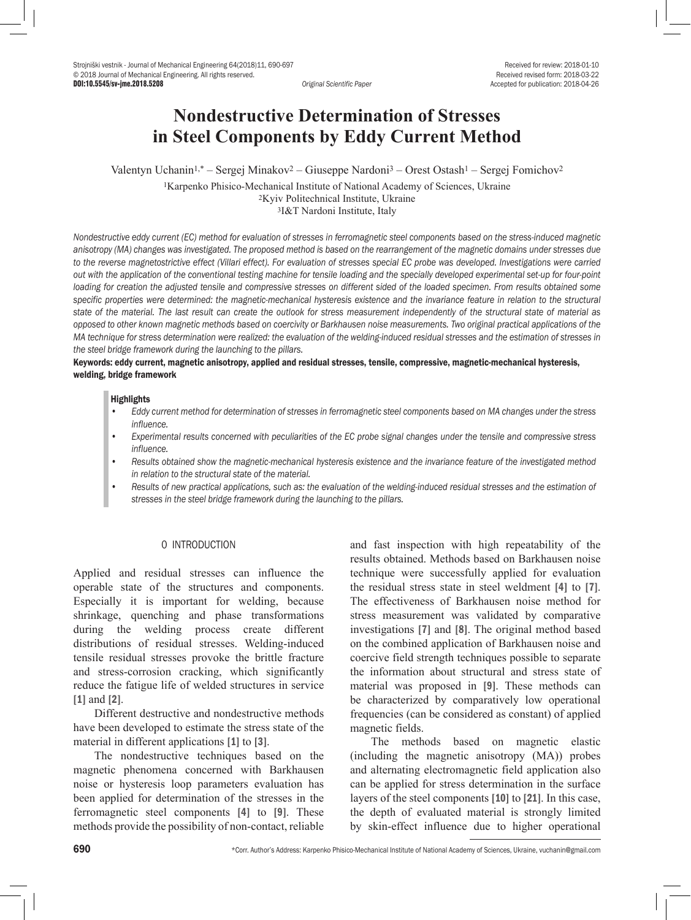DOI:10.5545/sv-jme.2018.5208 *Original Scientific Paper* Accepted for publication: 2018-04-26

# **Nondestructive Determination of Stresses in Steel Components by Eddy Current Method**

Valentyn Uchanin1,\* – Sergej Minakov2 – Giuseppe Nardoni3 – Orest Ostash1 – Sergej Fomichov2

1Karpenko Phisico-Mechanical Institute of National Academy of Sciences, Ukraine 2Kyiv Politechnical Institute, Ukraine 3I&T Nardoni Institute, Italy

*Nondestructive eddy current (EC) method for evaluation of stresses in ferromagnetic steel components based on the stress-induced magnetic anisotropy (MA) changes was investigated. The proposed method is based on the rearrangement of the magnetic domains under stresses due to the reverse magnetostrictive effect (Villari effect). For evaluation of stresses special EC probe was developed. Investigations were carried out with the application of the conventional testing machine for tensile loading and the specially developed experimental set-up for four-point*  loading for creation the adjusted tensile and compressive stresses on different sided of the loaded specimen. From results obtained some specific properties were determined: the magnetic-mechanical hysteresis existence and the invariance feature in relation to the structural *state of the material. The last result can create the outlook for stress measurement independently of the structural state of material as opposed to other known magnetic methods based on coercivity or Barkhausen noise measurements. Two original practical applications of the MA technique for stress determination were realized: the evaluation of the welding-induced residual stresses and the estimation of stresses in the steel bridge framework during the launching to the pillars.* 

## Keywords: eddy current, magnetic anisotropy, applied and residual stresses, tensile, compressive, magnetic-mechanical hysteresis, welding, bridge framework

#### **Highlights**

- *• Eddy current method for determination of stresses in ferromagnetic steel components based on MA changes under the stress influence.*
- *• Experimental results concerned with peculiarities of the EC probe signal changes under the tensile and compressive stress influence.*
- *• Results obtained show the magnetic-mechanical hysteresis existence and the invariance feature of the investigated method in relation to the structural state of the material.*
- *• Results of new practical applications, such as: the evaluation of the welding-induced residual stresses and the estimation of stresses in the steel bridge framework during the launching to the pillars.*

## 0 INTRODUCTION

Applied and residual stresses can influence the operable state of the structures and components. Especially it is important for welding, because shrinkage, quenching and phase transformations during the welding process create different distributions of residual stresses. Welding-induced tensile residual stresses provoke the brittle fracture and stress-corrosion cracking, which significantly reduce the fatigue life of welded structures in service [1] and [2].

Different destructive and nondestructive methods have been developed to estimate the stress state of the material in different applications [1] to [3].

The nondestructive techniques based on the magnetic phenomena concerned with Barkhausen noise or hysteresis loop parameters evaluation has been applied for determination of the stresses in the ferromagnetic steel components [4] to [9]. These methods provide the possibility of non-contact, reliable and fast inspection with high repeatability of the results obtained. Methods based on Barkhausen noise technique were successfully applied for evaluation the residual stress state in steel weldment [4] to [7]. The effectiveness of Barkhausen noise method for stress measurement was validated by comparative investigations [7] and [8]. The original method based on the combined application of Barkhausen noise and coercive field strength techniques possible to separate the information about structural and stress state of material was proposed in [9]. These methods can be characterized by comparatively low operational frequencies (can be considered as constant) of applied magnetic fields.

The methods based on magnetic elastic (including the magnetic anisotropy (MA)) probes and alternating electromagnetic field application also can be applied for stress determination in the surface layers of the steel components [10] to [21]. In this case, the depth of evaluated material is strongly limited by skin-effect influence due to higher operational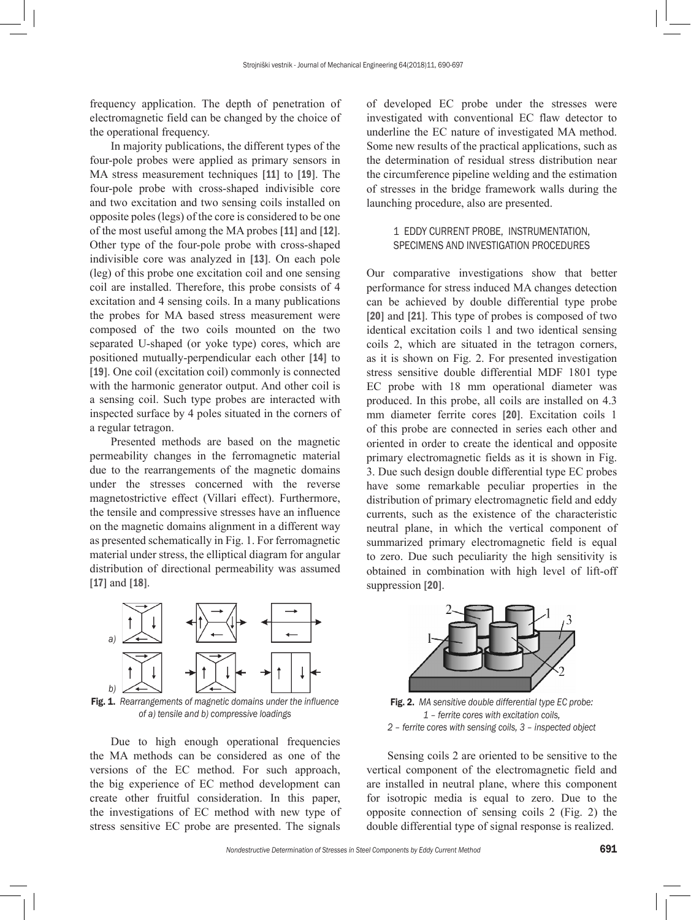frequency application. The depth of penetration of electromagnetic field can be changed by the choice of the operational frequency.

In majority publications, the different types of the four-pole probes were applied as primary sensors in MA stress measurement techniques [11] to [19]. The four-pole probe with cross-shaped indivisible core and two excitation and two sensing coils installed on opposite poles (legs) of the core is considered to be one of the most useful among the MA probes [11] and [12]. Other type of the four-pole probe with cross-shaped indivisible core was analyzed in [13]. On each pole (leg) of this probe one excitation coil and one sensing coil are installed. Therefore, this probe consists of 4 excitation and 4 sensing coils. In a many publications the probes for MA based stress measurement were composed of the two coils mounted on the two separated U-shaped (or yoke type) cores, which are positioned mutually-perpendicular each other [14] to [19]. One coil (excitation coil) commonly is connected with the harmonic generator output. And other coil is a sensing coil. Such type probes are interacted with inspected surface by 4 poles situated in the corners of a regular tetragon.

Presented methods are based on the magnetic permeability changes in the ferromagnetic material due to the rearrangements of the magnetic domains under the stresses concerned with the reverse magnetostrictive effect (Villari effect). Furthermore, the tensile and compressive stresses have an influence on the magnetic domains alignment in a different way as presented schematically in Fig. 1. For ferromagnetic material under stress, the elliptical diagram for angular distribution of directional permeability was assumed [**17**] and [**18**].



Fig. 1. *Rearrangements of magnetic domains under the influence of a) tensile and b) compressive loadings*

Due to high enough operational frequencies the MA methods can be considered as one of the versions of the EC method. For such approach, the big experience of EC method development can create other fruitful consideration. In this paper, the investigations of EC method with new type of stress sensitive EC probe are presented. The signals

of developed EC probe under the stresses were investigated with conventional EC flaw detector to underline the EC nature of investigated MA method. Some new results of the practical applications, such as the determination of residual stress distribution near the circumference pipeline welding and the estimation of stresses in the bridge framework walls during the launching procedure, also are presented.

## 1 EDDY CURRENT PROBE, INSTRUMENTATION, SPECIMENS AND INVESTIGATION PROCEDURES

Our comparative investigations show that better performance for stress induced MA changes detection can be achieved by double differential type probe [20] and [21]. This type of probes is composed of two identical excitation coils 1 and two identical sensing coils 2, which are situated in the tetragon corners, as it is shown on Fig. 2. For presented investigation stress sensitive double differential MDF 1801 type EC probe with 18 mm operational diameter was produced. In this probe, all coils are installed on 4.3 mm diameter ferrite cores [20]. Excitation coils 1 of this probe are connected in series each other and oriented in order to create the identical and opposite primary electromagnetic fields as it is shown in Fig. 3. Due such design double differential type EC probes have some remarkable peculiar properties in the distribution of primary electromagnetic field and eddy currents, such as the existence of the characteristic neutral plane, in which the vertical component of summarized primary electromagnetic field is equal to zero. Due such peculiarity the high sensitivity is obtained in combination with high level of lift-off suppression [20].



Fig. 2. *MA sensitive double differential type EC probe: 1 – ferrite cores with excitation coils, 2 – ferrite cores with sensing coils, 3 – inspected object*

Sensing coils 2 are oriented to be sensitive to the vertical component of the electromagnetic field and are installed in neutral plane, where this component for isotropic media is equal to zero. Due to the opposite connection of sensing coils 2 (Fig. 2) the double differential type of signal response is realized.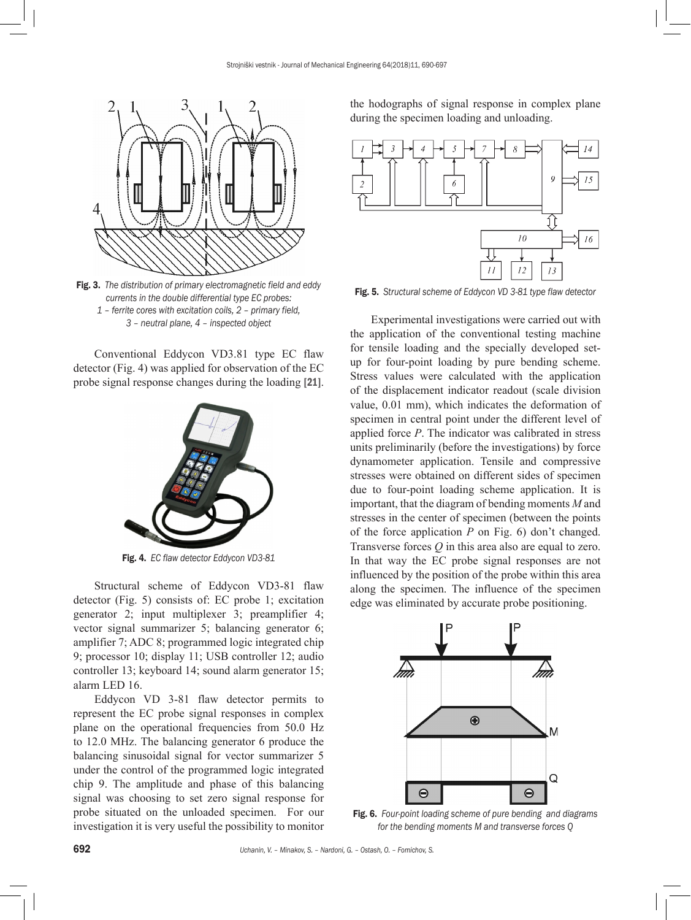

Fig. 3. *The distribution of primary electromagnetic field and eddy currents in the double differential type EC probes: 1 – ferrite cores with excitation coils, 2 – primary field, 3 – neutral plane, 4 – inspected object*

Conventional Eddycon VD3.81 type EC flaw detector (Fig. 4) was applied for observation of the EC probe signal response changes during the loading [21].



Fig. 4. *EC flaw detector Eddycon VD3-81*

Structural scheme of Eddycon VD3-81 flaw detector (Fig. 5) consists of: EC probe 1; excitation generator 2; input multiplexer 3; preamplifier 4; vector signal summarizer 5; balancing generator 6; amplifier 7; ADC 8; programmed logic integrated chip 9; processor 10; display 11; USB controller 12; audio controller 13; keyboard 14; sound alarm generator 15; alarm LED 16.

Eddycon VD 3-81 flaw detector permits to represent the EC probe signal responses in complex plane on the operational frequencies from 50.0 Hz to 12.0 MHz. The balancing generator 6 produce the balancing sinusoidal signal for vector summarizer 5 under the control of the programmed logic integrated chip 9. The amplitude and phase of this balancing signal was choosing to set zero signal response for probe situated on the unloaded specimen. For our investigation it is very useful the possibility to monitor the hodographs of signal response in complex plane during the specimen loading and unloading.



Fig. 5. *Structural scheme of Eddycon VD 3-81 type flaw detector*

Experimental investigations were carried out with the application of the conventional testing machine for tensile loading and the specially developed setup for four-point loading by pure bending scheme. Stress values were calculated with the application of the displacement indicator readout (scale division value, 0.01 mm), which indicates the deformation of specimen in central point under the different level of applied force *P*. The indicator was calibrated in stress units preliminarily (before the investigations) by force dynamometer application. Tensile and compressive stresses were obtained on different sides of specimen due to four-point loading scheme application. It is important, that the diagram of bending moments *M* and stresses in the center of specimen (between the points of the force application *P* on Fig. 6) don't changed. Transverse forces *Q* in this area also are equal to zero. In that way the EC probe signal responses are not influenced by the position of the probe within this area along the specimen. The influence of the specimen edge was eliminated by accurate probe positioning.



Fig. 6. *Four-point loading scheme of pure bending and diagrams for the bending moments M and transverse forces Q*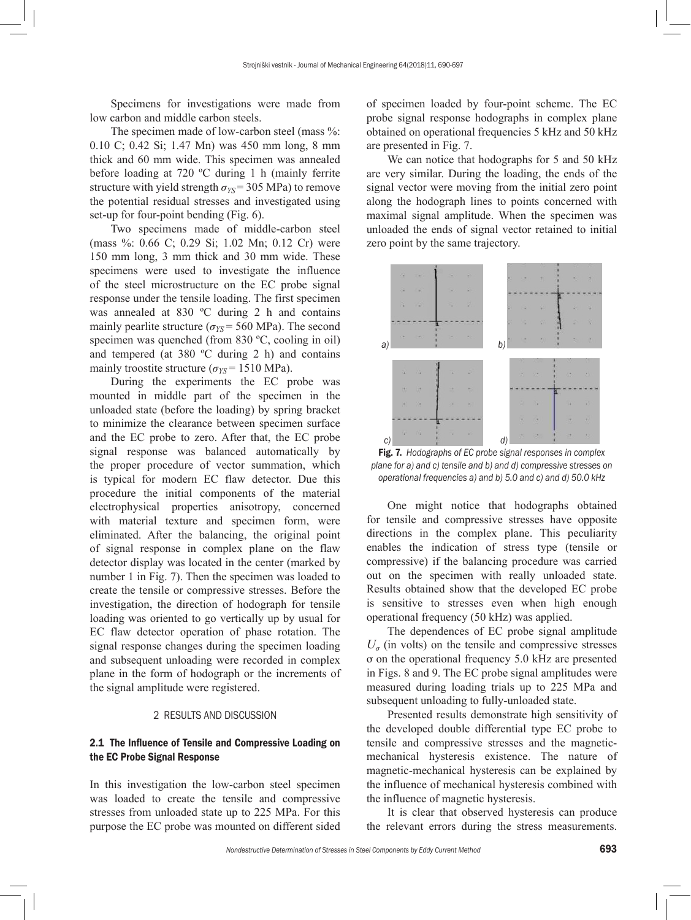Specimens for investigations were made from low carbon and middle carbon steels.

The specimen made of low-carbon steel (mass %: 0.10 C; 0.42 Si; 1.47 Mn) was 450 mm long, 8 mm thick and 60 mm wide. This specimen was annealed before loading at 720 ºC during 1 h (mainly ferrite structure with yield strength  $\sigma_{YS}$  = 305 MPa) to remove the potential residual stresses and investigated using set-up for four-point bending (Fig. 6).

Two specimens made of middle-carbon steel (mass %: 0.66 C; 0.29 Si; 1.02 Mn; 0.12 Cr) were 150 mm long, 3 mm thick and 30 mm wide. These specimens were used to investigate the influence of the steel microstructure on the EC probe signal response under the tensile loading. The first specimen was annealed at 830 ºC during 2 h and contains mainly pearlite structure ( $\sigma_{YS}$  = 560 MPa). The second specimen was quenched (from 830 °C, cooling in oil) and tempered (at 380 ºC during 2 h) and contains mainly troostite structure ( $\sigma_{YS}$  = 1510 MPa).

During the experiments the EC probe was mounted in middle part of the specimen in the unloaded state (before the loading) by spring bracket to minimize the clearance between specimen surface and the EC probe to zero. After that, the EC probe signal response was balanced automatically by the proper procedure of vector summation, which is typical for modern EC flaw detector. Due this procedure the initial components of the material electrophysical properties anisotropy, concerned with material texture and specimen form, were eliminated. After the balancing, the original point of signal response in complex plane on the flaw detector display was located in the center (marked by number 1 in Fig. 7). Then the specimen was loaded to create the tensile or compressive stresses. Before the investigation, the direction of hodograph for tensile loading was oriented to go vertically up by usual for EC flaw detector operation of phase rotation. The signal response changes during the specimen loading and subsequent unloading were recorded in complex plane in the form of hodograph or the increments of the signal amplitude were registered.

## 2 RESULTS AND DISCUSSION

## 2.1 The Influence of Tensile and Compressive Loading on the EC Probe Signal Response

In this investigation the low-carbon steel specimen was loaded to create the tensile and compressive stresses from unloaded state up to 225 MPa. For this purpose the EC probe was mounted on different sided of specimen loaded by four-point scheme. The EC probe signal response hodographs in complex plane obtained on operational frequencies 5 kHz and 50 kHz are presented in Fig. 7.

We can notice that hodographs for 5 and 50 kHz are very similar. During the loading, the ends of the signal vector were moving from the initial zero point along the hodograph lines to points concerned with maximal signal amplitude. When the specimen was unloaded the ends of signal vector retained to initial zero point by the same trajectory.



Fig. 7. *Hodographs of EC probe signal responses in complex plane for a) and c) tensile and b) and d) compressive stresses on operational frequencies a) and b) 5.0 and c) and d) 50.0 kHz*

One might notice that hodographs obtained for tensile and compressive stresses have opposite directions in the complex plane. This peculiarity enables the indication of stress type (tensile or compressive) if the balancing procedure was carried out on the specimen with really unloaded state. Results obtained show that the developed EC probe is sensitive to stresses even when high enough operational frequency (50 kHz) was applied.

The dependences of EC probe signal amplitude  $U_{\sigma}$  (in volts) on the tensile and compressive stresses ơ on the operational frequency 5.0 kHz are presented in Figs. 8 and 9. The EC probe signal amplitudes were measured during loading trials up to 225 MPa and subsequent unloading to fully-unloaded state.

Presented results demonstrate high sensitivity of the developed double differential type EC probe to tensile and compressive stresses and the magneticmechanical hysteresis existence. The nature of magnetic-mechanical hysteresis can be explained by the influence of mechanical hysteresis combined with the influence of magnetic hysteresis.

It is clear that observed hysteresis can produce the relevant errors during the stress measurements.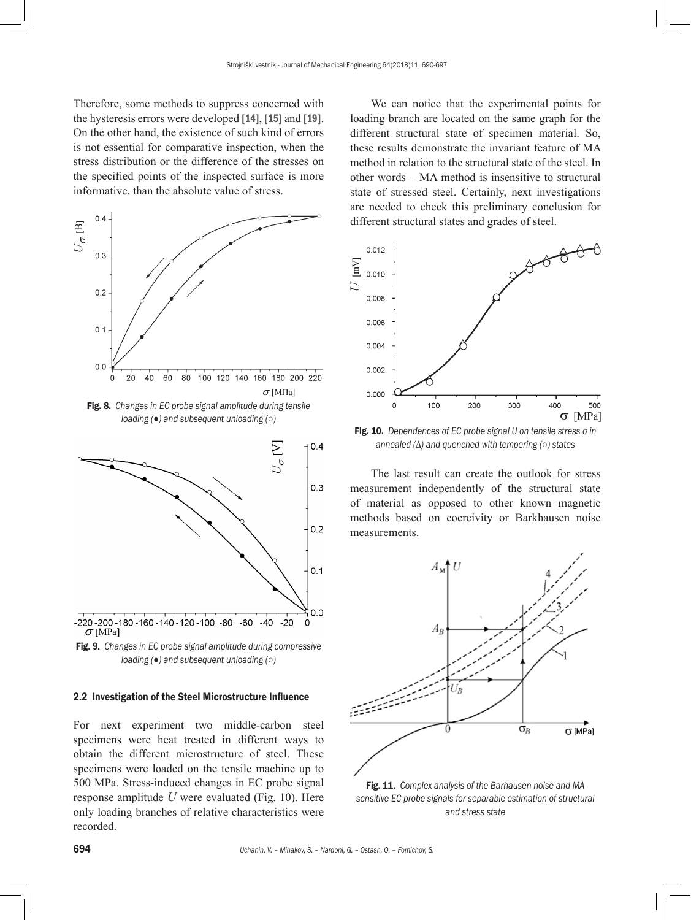Therefore, some methods to suppress concerned with the hysteresis errors were developed [14], [15] and [19]. On the other hand, the existence of such kind of errors is not essential for comparative inspection, when the stress distribution or the difference of the stresses on the specified points of the inspected surface is more informative, than the absolute value of stress.



Fig. 8. *Changes in EC probe signal amplitude during tensile loading (●) and subsequent unloading (○)* 



Fig. 9. *Changes in EC probe signal amplitude during compressive* 

*loading (●) and subsequent unloading (○)* 

#### 2.2 Investigation of the Steel Microstructure Influence

For next experiment two middle-carbon steel specimens were heat treated in different ways to obtain the different microstructure of steel. These specimens were loaded on the tensile machine up to 500 MPa. Stress-induced changes in EC probe signal response amplitude *U* were evaluated (Fig. 10). Here only loading branches of relative characteristics were recorded.

We can notice that the experimental points for loading branch are located on the same graph for the different structural state of specimen material. So, these results demonstrate the invariant feature of MA method in relation to the structural state of the steel. In other words – MA method is insensitive to structural state of stressed steel. Certainly, next investigations are needed to check this preliminary conclusion for different structural states and grades of steel.



Fig. 10. *Dependences of EC probe signal U on tensile stress σ in annealed (∆) and quenched with tempering (○) states*

The last result can create the outlook for stress measurement independently of the structural state of material as opposed to other known magnetic methods based on coercivity or Barkhausen noise measurements.



Fig. 11. *Complex analysis of the Barhausen noise and MA sensitive EC probe signals for separable estimation of structural and stress state*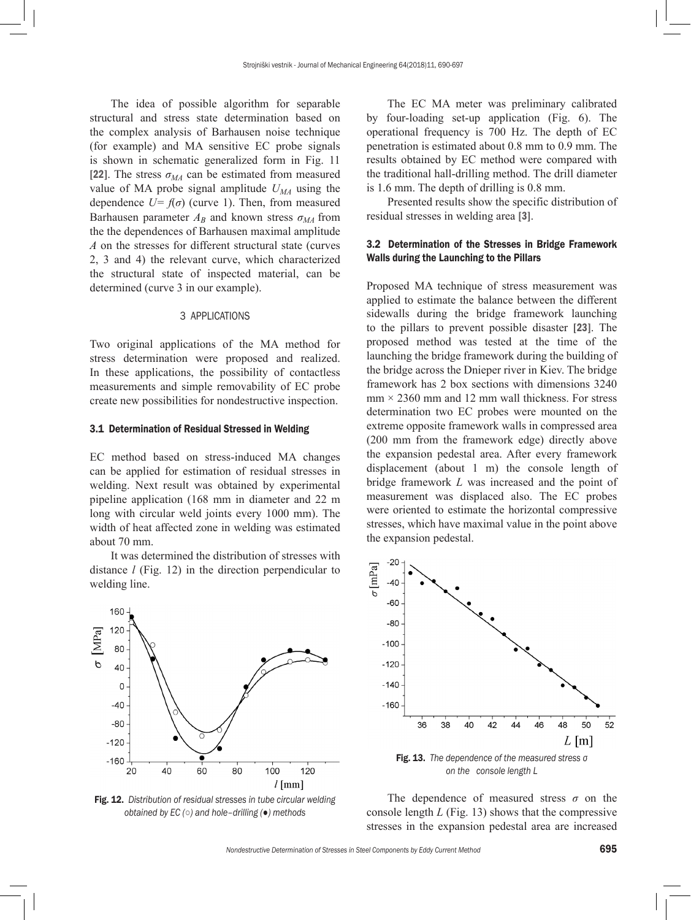The idea of possible algorithm for separable structural and stress state determination based on the complex analysis of Barhausen noise technique (for example) and MA sensitive EC probe signals is shown in schematic generalized form in Fig. 11 [22]. The stress  $\sigma_{MA}$  can be estimated from measured value of MA probe signal amplitude  $U_{\mathcal{M}A}$  using the dependence  $U=f(\sigma)$  (curve 1). Then, from measured Barhausen parameter  $A_B$  and known stress  $\sigma_{MA}$  from the the dependences of Barhausen maximal amplitude *А* on the stresses for different structural state (curves 2, 3 and 4) the relevant curve, which characterized the structural state of inspected material, can be determined (curve 3 in our example).

#### 3 APPLICATIONS

Two original applications of the MA method for stress determination were proposed and realized. In these applications, the possibility of contactless measurements and simple removability of EC probe create new possibilities for nondestructive inspection.

#### 3.1 Determination of Residual Stressed in Welding

EC method based on stress-induced MA changes can be applied for estimation of residual stresses in welding. Next result was obtained by experimental pipeline application (168 mm in diameter and 22 m long with circular weld joints every 1000 mm). The width of heat affected zone in welding was estimated about 70 mm.

It was determined the distribution of stresses with distance *l* (Fig. 12) in the direction perpendicular to welding line.



Fig. 12. *Distribution of residual stresses in tube circular welding obtained by EC (○) and hole–drilling (●) methods*

The EC MA meter was preliminary calibrated by four-loading set-up application (Fig. 6). The operational frequency is 700 Hz. The depth of EC penetration is estimated about 0.8 mm to 0.9 mm. The results obtained by EC method were compared with the traditional hall-drilling method. The drill diameter is 1.6 mm. The depth of drilling is 0.8 mm.

Presented results show the specific distribution of residual stresses in welding area [3].

## 3.2 Determination of the Stresses in Bridge Framework Walls during the Launching to the Pillars

Proposed MA technique of stress measurement was applied to estimate the balance between the different sidewalls during the bridge framework launching to the pillars to prevent possible disaster [23]. The proposed method was tested at the time of the launching the bridge framework during the building of the bridge across the Dnieper river in Kiev. The bridge framework has 2 box sections with dimensions 3240  $mm \times 2360$  mm and 12 mm wall thickness. For stress determination two EC probes were mounted on the extreme opposite framework walls in compressed area (200 mm from the framework edge) directly above the expansion pedestal area. After every framework displacement (about 1 m) the console length of bridge framework *L* was increased and the point of measurement was displaced also. The EC probes were oriented to estimate the horizontal compressive stresses, which have maximal value in the point above the expansion pedestal.



The dependence of measured stress  $\sigma$  on the console length *L* (Fig. 13) shows that the compressive stresses in the expansion pedestal area are increased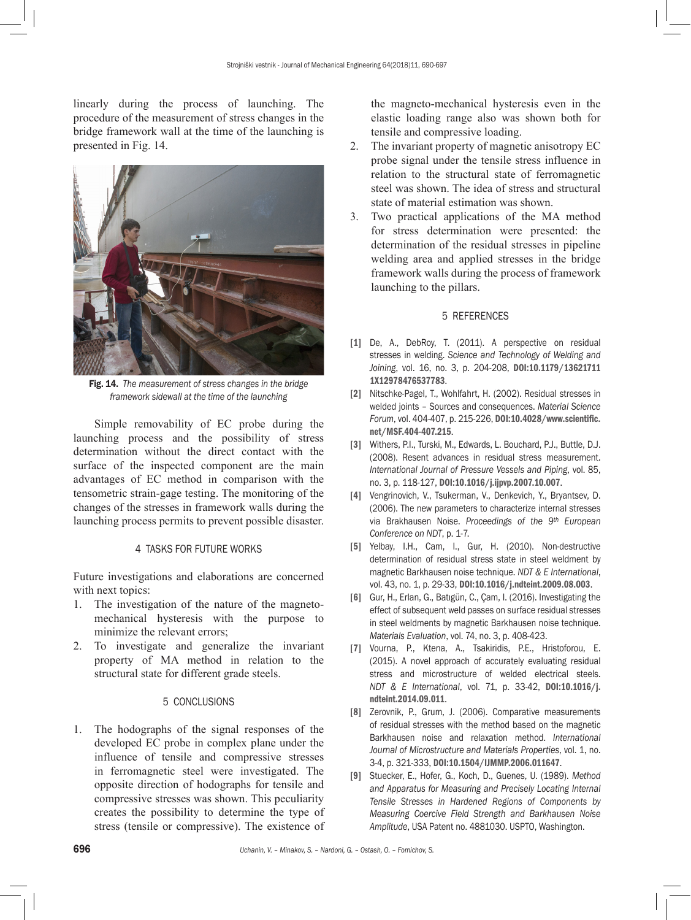linearly during the process of launching. The procedure of the measurement of stress changes in the bridge framework wall at the time of the launching is presented in Fig. 14.



Fig. 14. *The measurement of stress changes in the bridge framework sidewall at the time of the launching*

Simple removability of EC probe during the launching process and the possibility of stress determination without the direct contact with the surface of the inspected component are the main advantages of EC method in comparison with the tensometric strain-gage testing. The monitoring of the changes of the stresses in framework walls during the launching process permits to prevent possible disaster.

#### 4 TASKS FOR FUTURE WORKS

Future investigations and elaborations are concerned with next topics:

- 1. The investigation of the nature of the magnetomechanical hysteresis with the purpose to minimize the relevant errors;
- 2. To investigate and generalize the invariant property of MA method in relation to the structural state for different grade steels.

## 5 CONCLUSIONS

1. The hodographs of the signal responses of the developed EC probe in complex plane under the influence of tensile and compressive stresses in ferromagnetic steel were investigated. The opposite direction of hodographs for tensile and compressive stresses was shown. This peculiarity creates the possibility to determine the type of stress (tensile or compressive). The existence of the magneto-mechanical hysteresis even in the elastic loading range also was shown both for tensile and compressive loading.

- 2. The invariant property of magnetic anisotropy EC probe signal under the tensile stress influence in relation to the structural state of ferromagnetic steel was shown. The idea of stress and structural state of material estimation was shown.
- 3. Two practical applications of the MA method for stress determination were presented: the determination of the residual stresses in pipeline welding area and applied stresses in the bridge framework walls during the process of framework launching to the pillars.

#### 5 REFERENCES

- [1] De, A., DebRoy, T. (2011). A perspective on residual stresses in welding. *Science and Technology of Welding and Joining*, vol. 16, no. 3, p. 204-208, [DOI:10.1179/13621711](https://doi.org/10.1179/136217111X12978476537783) [1X12978476537783](https://doi.org/10.1179/136217111X12978476537783).
- [2] Nitschke-Pagel, T., Wohlfahrt, H. (2002). Residual stresses in welded joints – Sources and consequences. *Material Science Forum*, vol. 404-407, p. 215-226, [DOI:10.4028/www.scientific.](https://doi.org/10.4028/www.scientific.net/MSF.404-407.215) [net/MSF.404-407.215](https://doi.org/10.4028/www.scientific.net/MSF.404-407.215).
- [3] Withers, P.I., Turski, M., Edwards, L. Bouchard, P.J., Buttle, D.J. (2008). Resent advances in residual stress measurement. *International Journal of Pressure Vessels and Piping*, vol. 85, no. 3, p. 118-127, [DOI:10.1016/j.ijpvp.2007.10.007](https://doi.org/10.1016/j.ijpvp.2007.10.007).
- [4] Vengrinovich, V., Tsukerman, V., Denkevich, Y., Bryantsev, D. (2006). The new parameters to characterize internal stresses via Brakhausen Noise. *Proceedings of the 9th European Conference on NDT*, p. 1-7.
- [5] Yelbay, I.H., Cam, I., Gur, H. (2010). Non-destructive determination of residual stress state in steel weldment by magnetic Barkhausen noise technique. *NDT & E International*, vol. 43, no. 1, p. 29-33, [DOI:10.1016/j.ndteint.2009.08.003](https://doi.org/10.1016/j.ndteint.2009.08.003).
- [6] Gur, H., Erlan, G., Batıgün, C., Çam, I. (2016). Investigating the effect of subsequent weld passes on surface residual stresses in steel weldments by magnetic Barkhausen noise technique. *Materials Evaluation*, vol. 74, no. 3, p. 408-423.
- [7] Vourna, P., Ktena, A., Tsakiridis, P.E., Hristoforou, E. (2015). A novel approach of accurately evaluating residual stress and microstructure of welded electrical steels. *NDT & E International*, vol. 71, p. 33-42, [DOI:10.1016/j.](https://doi.org/10.1016/j.ndteint.2014.09.011) [ndteint.2014.09.011](https://doi.org/10.1016/j.ndteint.2014.09.011).
- [8] Zerovnik, P., Grum, J. (2006). Comparative measurements of residual stresses with the method based on the magnetic Barkhausen noise and relaxation method. *International Journal of Microstructure and Materials Properties*, vol. 1, no. 3-4, p. 321-333, [DOI:10.1504/IJMMP.2006.011647](https://doi.org/10.1504/IJMMP.2006.011647).
- [9] Stuecker, E., Hofer, G., Koch, D., Guenes, U. (1989). *Method and Apparatus for Measuring and Precisely Locating Internal Tensile Stresses in Hardened Regions of Components by Measuring Coercive Field Strength and Barkhausen Noise Amplitude*, USA Patent no. 4881030. USPTO, Washington.